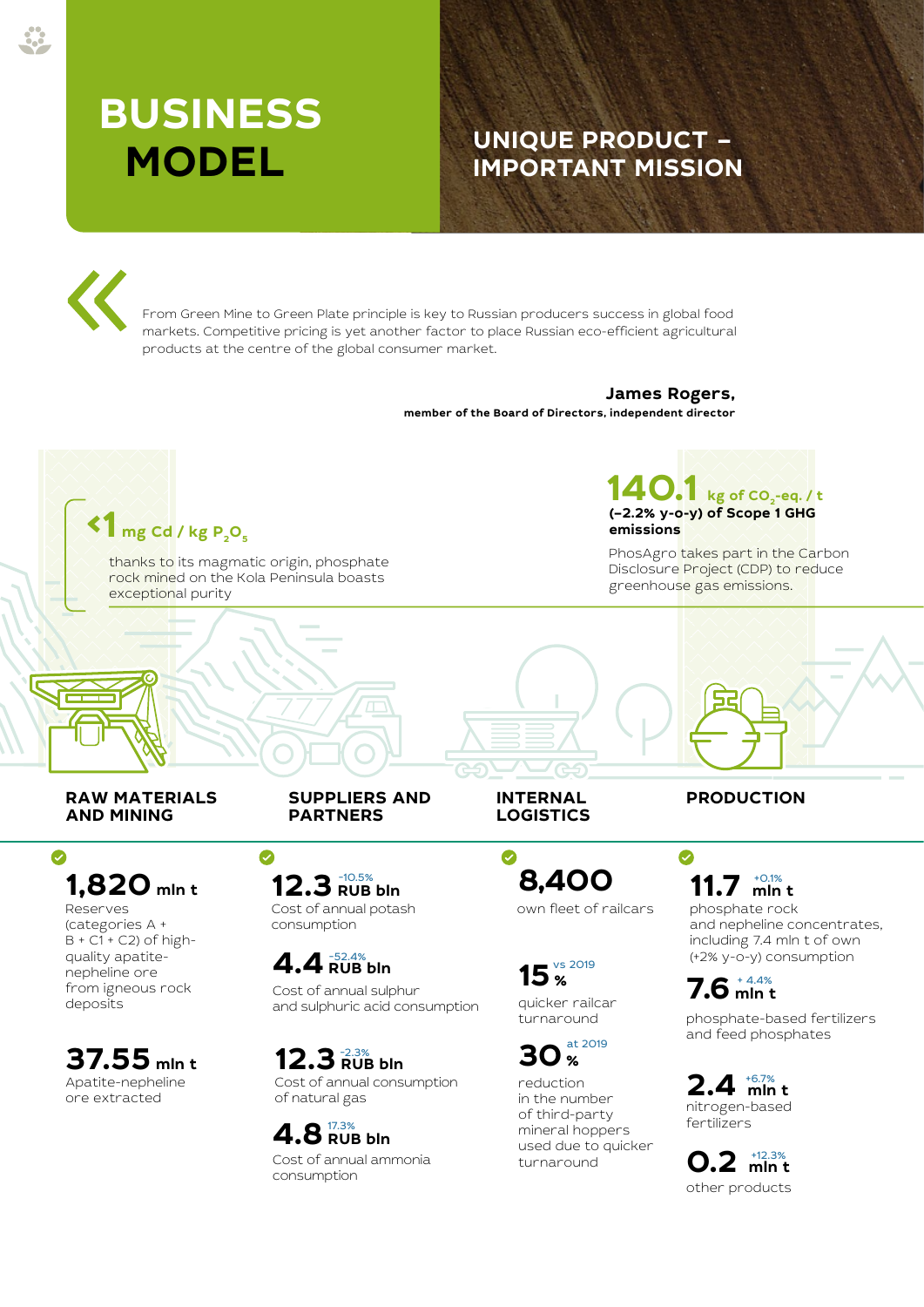# **BUSINESS**

# **MODEL UNIQUE PRODUCT – IMPORTANT MISSION**

From Green Mine to Green Plate principle is key to Russian producers success in global food markets. Competitive pricing is yet another factor to place Russian eco-efficient agricultural products at the centre of the global consumer market.

#### **James Rogers, member of the Board of Directors, independent director**

**140.1 kg of CO2-eq. / t (–2.2% y-o-y) of Scope 1 GHG**   $1$  mg Cd / kg P<sub>2</sub>O<sub>5</sub> **emissions** PhosAgro takes part in the Carbon thanks to its magmatic origin, phosphate Disclosure Project (CDP) to reduce rock mined on the Kola Peninsula boasts greenhouse gas emissions. exceptional purity **RAW MATERIALS SUPPLIERS AND INTERNAL PRODUCTION AND MINING PARTNERS LOGISTICS**  $\bullet$  $\bullet$  $\bullet$ **8,400 1,820 mln t 12.3** RUB 12.3 RUB bln **11.7 mln t** +0.1% Reserves Cost of annual potash own fleet of railcars phosphate rock (categories А + consumption and nepheline concentrates,  $B + C1 + C2$ ) of highincluding 7.4 mln t of own quality apatite-(+2% y-o-y) consumption **4.4** RUB bln vs 2019 nepheline ore **15 %**  $7.6^{\tiny +4.4\%}_{\tiny -1.4\%}$ from igneous rock Cost of annual sulphur quicker railcar deposits and sulphuric acid consumption phosphate-based fertilizers turnaround and feed phosphates at 2019 **37.55** mln t **12.3** RUB bln **30** % 12.3<sup>-2.3%</sup><br>12.3 RUB bln Apatite-nepheline Cost of annual consumption **2.4 mln t** +6.7% reduction

**4.8** RUB bln

Cost of annual ammonia

of natural gas

consumption

ore extracted

in the number of third-party mineral hoppers used due to quicker turnaround

**0.2 mln t** +12.3% other products

nitrogen-based fertilizers